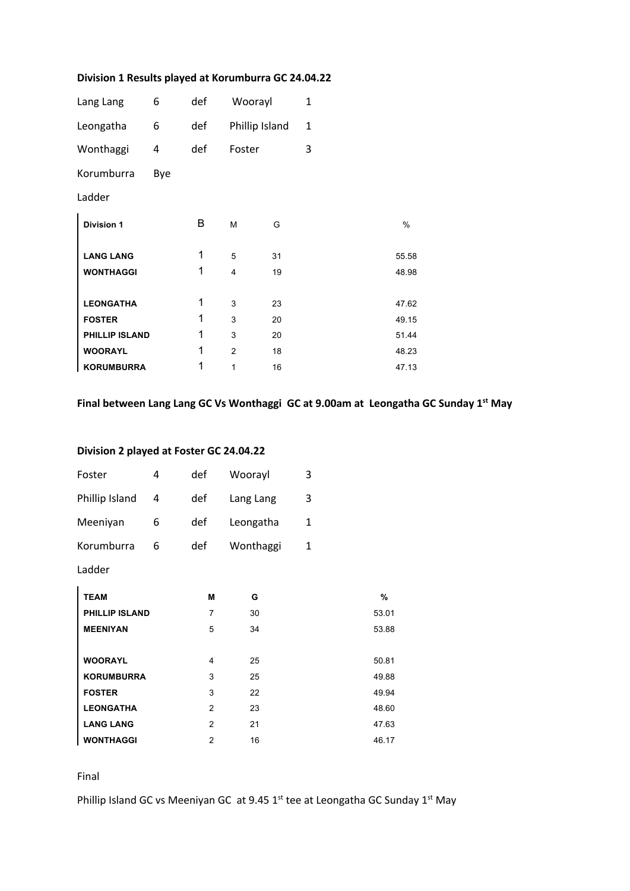## **Division 1 Results played at Korumburra GC 24.04.22**

| Lang Lang             | 6   | def | Woorayl        |                | $\mathbf{1}$ |       |
|-----------------------|-----|-----|----------------|----------------|--------------|-------|
| Leongatha             | 6   | def |                | Phillip Island | 1            |       |
| Wonthaggi             | 4   | def | Foster         |                | 3            |       |
| Korumburra            | Bye |     |                |                |              |       |
| Ladder                |     |     |                |                |              |       |
| <b>Division 1</b>     |     | В   | M              | G              |              | %     |
| <b>LANG LANG</b>      |     | 1   | 5              | 31             |              | 55.58 |
| <b>WONTHAGGI</b>      |     | 1   | $\overline{4}$ | 19             |              | 48.98 |
| <b>LEONGATHA</b>      |     | 1   | 3              | 23             |              | 47.62 |
| <b>FOSTER</b>         |     | 1   | 3              | 20             |              | 49.15 |
| <b>PHILLIP ISLAND</b> |     | 1   | 3              | 20             |              | 51.44 |
| <b>WOORAYL</b>        |     | 1   | $\overline{2}$ | 18             |              | 48.23 |
| <b>KORUMBURRA</b>     |     | 1   | 1              | 16             |              | 47.13 |

## **Final between Lang Lang GC Vs Wonthaggi GC at 9.00am at Leongatha GC Sunday 1st May**

## **Division 2 played at Foster GC 24.04.22**

| Foster                | 4 | def            | Woorayl   | 3 |       |
|-----------------------|---|----------------|-----------|---|-------|
| Phillip Island        | 4 | def            | Lang Lang | 3 |       |
| Meeniyan              | 6 | def            | Leongatha | 1 |       |
| Korumburra            | 6 | def            | Wonthaggi | 1 |       |
| Ladder                |   |                |           |   |       |
| <b>TEAM</b>           |   | M              | G         |   | %     |
| <b>PHILLIP ISLAND</b> |   | 7              | 30        |   | 53.01 |
| <b>MEENIYAN</b>       |   | 5              | 34        |   | 53.88 |
| <b>WOORAYL</b>        |   | 4              | 25        |   | 50.81 |
| <b>KORUMBURRA</b>     |   | 3              | 25        |   | 49.88 |
| <b>FOSTER</b>         |   | 3              | 22        |   | 49.94 |
| <b>LEONGATHA</b>      |   | 2              | 23        |   | 48.60 |
| <b>LANG LANG</b>      |   | $\overline{2}$ | 21        |   | 47.63 |
| <b>WONTHAGGI</b>      |   | 2              | 16        |   | 46.17 |

Final

Phillip Island GC vs Meeniyan GC at 9.45  $1<sup>st</sup>$  tee at Leongatha GC Sunday  $1<sup>st</sup>$  May